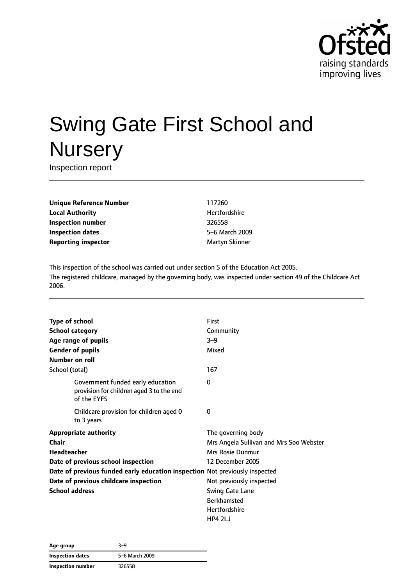

# Swing Gate First School and **Nursery**

Inspection report

**Unique Reference Number** 117260 **Local Authority Hertfordshire Inspection number** 326558 **Inspection dates** 5–6 March 2009 **Reporting inspector** Martyn Skinner

This inspection of the school was carried out under section 5 of the Education Act 2005. The registered childcare, managed by the governing body, was inspected under section 49 of the Childcare Act 2006.

| <b>Type of school</b>                                                                        | First                                   |
|----------------------------------------------------------------------------------------------|-----------------------------------------|
| <b>School category</b>                                                                       | Community                               |
| Age range of pupils                                                                          | $3 - 9$                                 |
| <b>Gender of pupils</b>                                                                      | Mixed                                   |
| Number on roll                                                                               |                                         |
| School (total)                                                                               | 167                                     |
| Government funded early education<br>provision for children aged 3 to the end<br>of the EYFS | 0                                       |
| Childcare provision for children aged 0<br>to 3 years                                        | 0                                       |
| <b>Appropriate authority</b>                                                                 | The governing body                      |
| Chair                                                                                        | Mrs Angela Sullivan and Mrs Soo Webster |
| Headteacher                                                                                  | <b>Mrs Rosie Dunmur</b>                 |
| Date of previous school inspection                                                           | 12 December 2005                        |
| Date of previous funded early education inspection Not previously inspected                  |                                         |
| Date of previous childcare inspection                                                        | Not previously inspected                |
| <b>School address</b>                                                                        | Swing Gate Lane                         |
|                                                                                              | <b>Berkhamsted</b>                      |
|                                                                                              | Hertfordshire                           |
|                                                                                              | HP4 2LJ                                 |

**Age group** 3–9 **Inspection dates** 5–6 March 2009 **Inspection number** 326558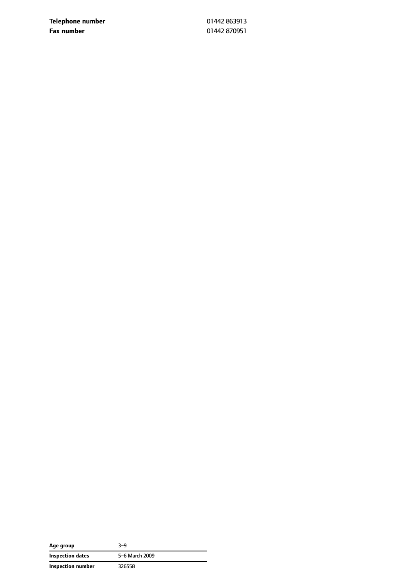**Telephone number** 01442 863913 **Fax number** 01442 870951

| Age group                | 3-9            |
|--------------------------|----------------|
| Inspection dates         | 5-6 March 2009 |
| <b>Inspection number</b> | 326558         |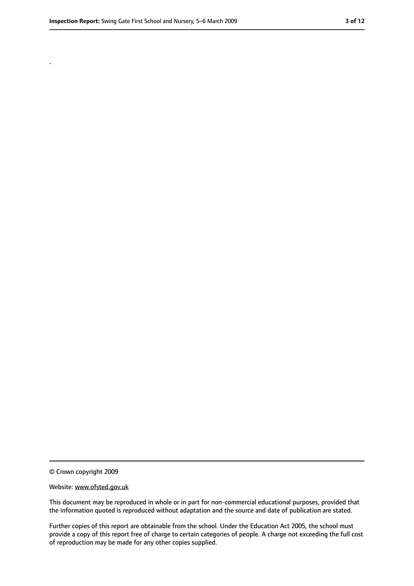.

<sup>©</sup> Crown copyright 2009

Website: www.ofsted.gov.uk

This document may be reproduced in whole or in part for non-commercial educational purposes, provided that the information quoted is reproduced without adaptation and the source and date of publication are stated.

Further copies of this report are obtainable from the school. Under the Education Act 2005, the school must provide a copy of this report free of charge to certain categories of people. A charge not exceeding the full cost of reproduction may be made for any other copies supplied.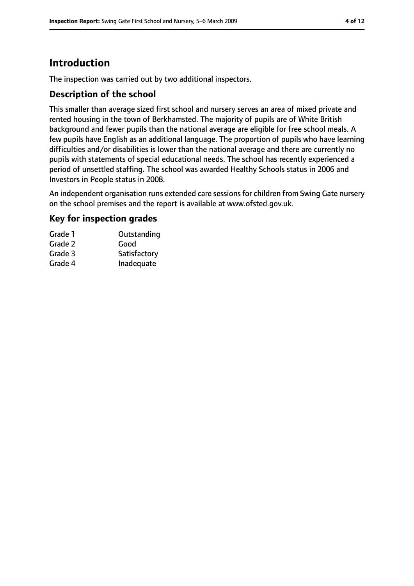# **Introduction**

The inspection was carried out by two additional inspectors.

## **Description of the school**

This smaller than average sized first school and nursery serves an area of mixed private and rented housing in the town of Berkhamsted. The majority of pupils are of White British background and fewer pupils than the national average are eligible for free school meals. A few pupils have English as an additional language. The proportion of pupils who have learning difficulties and/or disabilities is lower than the national average and there are currently no pupils with statements of special educational needs. The school has recently experienced a period of unsettled staffing. The school was awarded Healthy Schools status in 2006 and Investors in People status in 2008.

An independent organisation runs extended care sessions for children from Swing Gate nursery on the school premises and the report is available at www.ofsted.gov.uk.

## **Key for inspection grades**

| Grade 1 | Outstanding  |
|---------|--------------|
| Grade 2 | Good         |
| Grade 3 | Satisfactory |
| Grade 4 | Inadequate   |
|         |              |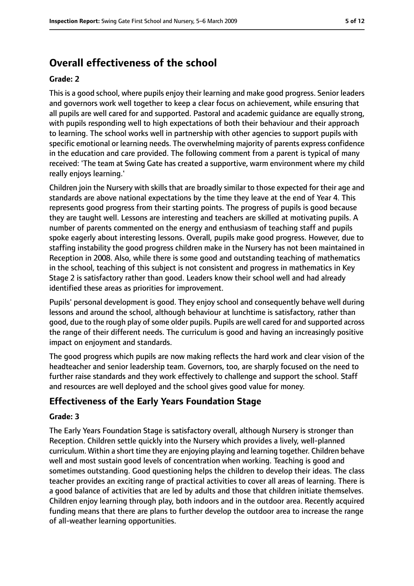# **Overall effectiveness of the school**

#### **Grade: 2**

This is a good school, where pupils enjoy their learning and make good progress. Senior leaders and governors work well together to keep a clear focus on achievement, while ensuring that all pupils are well cared for and supported. Pastoral and academic guidance are equally strong, with pupils responding well to high expectations of both their behaviour and their approach to learning. The school works well in partnership with other agencies to support pupils with specific emotional or learning needs. The overwhelming majority of parents express confidence in the education and care provided. The following comment from a parent is typical of many received: 'The team at Swing Gate has created a supportive, warm environment where my child really enjoys learning.'

Children join the Nursery with skills that are broadly similar to those expected for their age and standards are above national expectations by the time they leave at the end of Year 4. This represents good progress from their starting points. The progress of pupils is good because they are taught well. Lessons are interesting and teachers are skilled at motivating pupils. A number of parents commented on the energy and enthusiasm of teaching staff and pupils spoke eagerly about interesting lessons. Overall, pupils make good progress. However, due to staffing instability the good progress children make in the Nursery has not been maintained in Reception in 2008. Also, while there is some good and outstanding teaching of mathematics in the school, teaching of this subject is not consistent and progress in mathematics in Key Stage 2 is satisfactory rather than good. Leaders know their school well and had already identified these areas as priorities for improvement.

Pupils' personal development is good. They enjoy school and consequently behave well during lessons and around the school, although behaviour at lunchtime is satisfactory, rather than good, due to the rough play of some older pupils. Pupils are well cared for and supported across the range of their different needs. The curriculum is good and having an increasingly positive impact on enjoyment and standards.

The good progress which pupils are now making reflects the hard work and clear vision of the headteacher and senior leadership team. Governors, too, are sharply focused on the need to further raise standards and they work effectively to challenge and support the school. Staff and resources are well deployed and the school gives good value for money.

## **Effectiveness of the Early Years Foundation Stage**

#### **Grade: 3**

The Early Years Foundation Stage is satisfactory overall, although Nursery is stronger than Reception. Children settle quickly into the Nursery which provides a lively, well-planned curriculum. Within a short time they are enjoying playing and learning together. Children behave well and most sustain good levels of concentration when working. Teaching is good and sometimes outstanding. Good questioning helps the children to develop their ideas. The class teacher provides an exciting range of practical activities to cover all areas of learning. There is a good balance of activities that are led by adults and those that children initiate themselves. Children enjoy learning through play, both indoors and in the outdoor area. Recently acquired funding means that there are plans to further develop the outdoor area to increase the range of all-weather learning opportunities.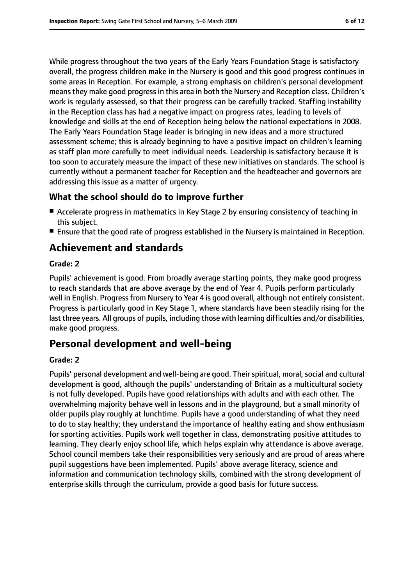While progress throughout the two years of the Early Years Foundation Stage is satisfactory overall, the progress children make in the Nursery is good and this good progress continues in some areas in Reception. For example, a strong emphasis on children's personal development means they make good progress in this area in both the Nursery and Reception class. Children's work is regularly assessed, so that their progress can be carefully tracked. Staffing instability in the Reception class has had a negative impact on progress rates, leading to levels of knowledge and skills at the end of Reception being below the national expectations in 2008. The Early Years Foundation Stage leader is bringing in new ideas and a more structured assessment scheme; this is already beginning to have a positive impact on children's learning as staff plan more carefully to meet individual needs. Leadership is satisfactory because it is too soon to accurately measure the impact of these new initiatives on standards. The school is currently without a permanent teacher for Reception and the headteacher and governors are addressing this issue as a matter of urgency.

## **What the school should do to improve further**

- Accelerate progress in mathematics in Key Stage 2 by ensuring consistency of teaching in this subject.
- Ensure that the good rate of progress established in the Nursery is maintained in Reception.

# **Achievement and standards**

#### **Grade: 2**

Pupils' achievement is good. From broadly average starting points, they make good progress to reach standards that are above average by the end of Year 4. Pupils perform particularly well in English. Progress from Nursery to Year 4 is good overall, although not entirely consistent. Progress is particularly good in Key Stage 1, where standards have been steadily rising for the last three years. All groups of pupils, including those with learning difficulties and/or disabilities, make good progress.

# **Personal development and well-being**

#### **Grade: 2**

Pupils' personal development and well-being are good. Their spiritual, moral, social and cultural development is good, although the pupils' understanding of Britain as a multicultural society is not fully developed. Pupils have good relationships with adults and with each other. The overwhelming majority behave well in lessons and in the playground, but a small minority of older pupils play roughly at lunchtime. Pupils have a good understanding of what they need to do to stay healthy; they understand the importance of healthy eating and show enthusiasm for sporting activities. Pupils work well together in class, demonstrating positive attitudes to learning. They clearly enjoy school life, which helps explain why attendance is above average. School council members take their responsibilities very seriously and are proud of areas where pupil suggestions have been implemented. Pupils' above average literacy, science and information and communication technology skills, combined with the strong development of enterprise skills through the curriculum, provide a good basis for future success.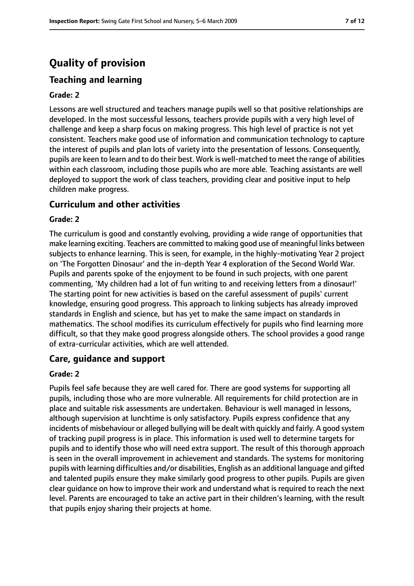# **Quality of provision**

# **Teaching and learning**

#### **Grade: 2**

Lessons are well structured and teachers manage pupils well so that positive relationships are developed. In the most successful lessons, teachers provide pupils with a very high level of challenge and keep a sharp focus on making progress. This high level of practice is not yet consistent. Teachers make good use of information and communication technology to capture the interest of pupils and plan lots of variety into the presentation of lessons. Consequently, pupils are keen to learn and to do their best. Work is well-matched to meet the range of abilities within each classroom, including those pupils who are more able. Teaching assistants are well deployed to support the work of class teachers, providing clear and positive input to help children make progress.

## **Curriculum and other activities**

#### **Grade: 2**

The curriculum is good and constantly evolving, providing a wide range of opportunities that make learning exciting. Teachers are committed to making good use of meaningful links between subjects to enhance learning. This is seen, for example, in the highly-motivating Year 2 project on 'The Forgotten Dinosaur' and the in-depth Year 4 exploration of the Second World War. Pupils and parents spoke of the enjoyment to be found in such projects, with one parent commenting, 'My children had a lot of fun writing to and receiving letters from a dinosaur!' The starting point for new activities is based on the careful assessment of pupils' current knowledge, ensuring good progress. This approach to linking subjects has already improved standards in English and science, but has yet to make the same impact on standards in mathematics. The school modifies its curriculum effectively for pupils who find learning more difficult, so that they make good progress alongside others. The school provides a good range of extra-curricular activities, which are well attended.

## **Care, guidance and support**

#### **Grade: 2**

Pupils feel safe because they are well cared for. There are good systems for supporting all pupils, including those who are more vulnerable. All requirements for child protection are in place and suitable risk assessments are undertaken. Behaviour is well managed in lessons, although supervision at lunchtime is only satisfactory. Pupils express confidence that any incidents of misbehaviour or alleged bullying will be dealt with quickly and fairly. A good system of tracking pupil progress is in place. This information is used well to determine targets for pupils and to identify those who will need extra support. The result of this thorough approach is seen in the overall improvement in achievement and standards. The systems for monitoring pupils with learning difficulties and/or disabilities, English as an additional language and gifted and talented pupils ensure they make similarly good progress to other pupils. Pupils are given clear guidance on how to improve their work and understand what is required to reach the next level. Parents are encouraged to take an active part in their children's learning, with the result that pupils enjoy sharing their projects at home.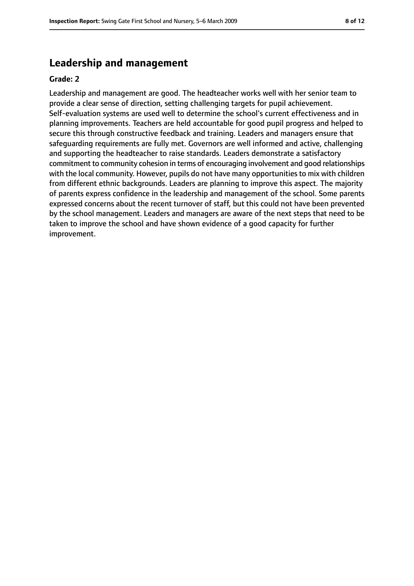# **Leadership and management**

#### **Grade: 2**

Leadership and management are good. The headteacher works well with her senior team to provide a clear sense of direction, setting challenging targets for pupil achievement. Self-evaluation systems are used well to determine the school's current effectiveness and in planning improvements. Teachers are held accountable for good pupil progress and helped to secure this through constructive feedback and training. Leaders and managers ensure that safeguarding requirements are fully met. Governors are well informed and active, challenging and supporting the headteacher to raise standards. Leaders demonstrate a satisfactory commitment to community cohesion in terms of encouraging involvement and good relationships with the local community. However, pupils do not have many opportunities to mix with children from different ethnic backgrounds. Leaders are planning to improve this aspect. The majority of parents express confidence in the leadership and management of the school. Some parents expressed concerns about the recent turnover of staff, but this could not have been prevented by the school management. Leaders and managers are aware of the next steps that need to be taken to improve the school and have shown evidence of a good capacity for further improvement.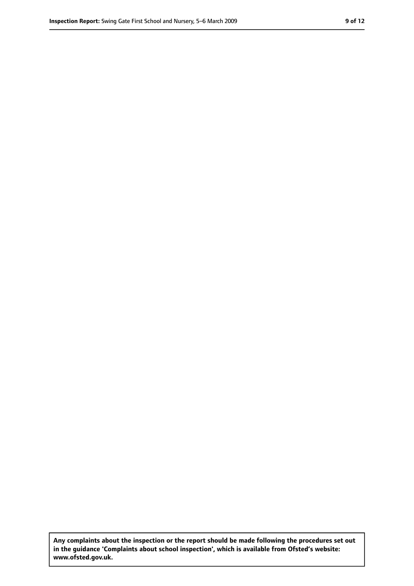**Any complaints about the inspection or the report should be made following the procedures set out in the guidance 'Complaints about school inspection', which is available from Ofsted's website: www.ofsted.gov.uk.**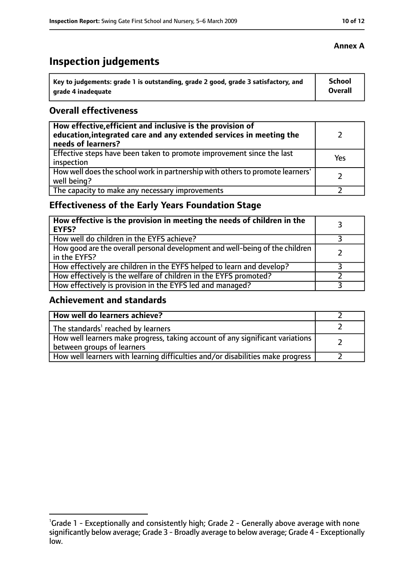# **Inspection judgements**

| Key to judgements: grade 1 is outstanding, grade 2 good, grade 3 satisfactory, and | School  |
|------------------------------------------------------------------------------------|---------|
| arade 4 inadequate                                                                 | Overall |

## **Overall effectiveness**

| How effective, efficient and inclusive is the provision of<br>education, integrated care and any extended services in meeting the<br>needs of learners? |     |
|---------------------------------------------------------------------------------------------------------------------------------------------------------|-----|
| Effective steps have been taken to promote improvement since the last<br>inspection                                                                     | Yes |
| How well does the school work in partnership with others to promote learners'<br>well being?                                                            |     |
| The capacity to make any necessary improvements                                                                                                         |     |

# **Effectiveness of the Early Years Foundation Stage**

| How effective is the provision in meeting the needs of children in the<br><b>EYFS?</b>       |  |
|----------------------------------------------------------------------------------------------|--|
| How well do children in the EYFS achieve?                                                    |  |
| How good are the overall personal development and well-being of the children<br>in the EYFS? |  |
| How effectively are children in the EYFS helped to learn and develop?                        |  |
| How effectively is the welfare of children in the EYFS promoted?                             |  |
| How effectively is provision in the EYFS led and managed?                                    |  |

## **Achievement and standards**

| How well do learners achieve?                                                                               |  |
|-------------------------------------------------------------------------------------------------------------|--|
| The standards <sup>1</sup> reached by learners                                                              |  |
| How well learners make progress, taking account of any significant variations<br>between groups of learners |  |
| How well learners with learning difficulties and/or disabilities make progress                              |  |

### **Annex A**

<sup>&</sup>lt;sup>1</sup>Grade 1 - Exceptionally and consistently high; Grade 2 - Generally above average with none significantly below average; Grade 3 - Broadly average to below average; Grade 4 - Exceptionally low.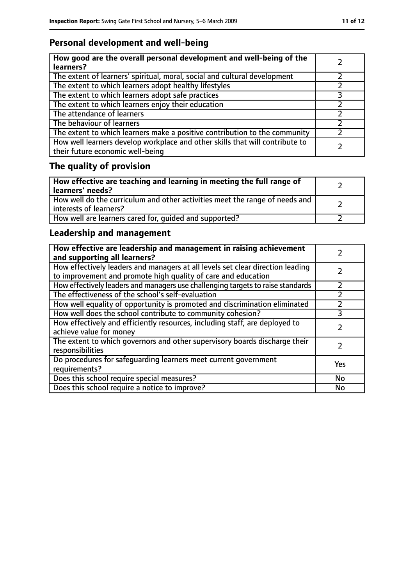# **Personal development and well-being**

| How good are the overall personal development and well-being of the<br>learners?                                 |  |
|------------------------------------------------------------------------------------------------------------------|--|
| The extent of learners' spiritual, moral, social and cultural development                                        |  |
| The extent to which learners adopt healthy lifestyles                                                            |  |
| The extent to which learners adopt safe practices                                                                |  |
| The extent to which learners enjoy their education                                                               |  |
| The attendance of learners                                                                                       |  |
| The behaviour of learners                                                                                        |  |
| The extent to which learners make a positive contribution to the community                                       |  |
| How well learners develop workplace and other skills that will contribute to<br>their future economic well-being |  |

# **The quality of provision**

| How effective are teaching and learning in meeting the full range of<br>learners' needs?              |  |
|-------------------------------------------------------------------------------------------------------|--|
| How well do the curriculum and other activities meet the range of needs and<br>interests of learners? |  |
| How well are learners cared for, quided and supported?                                                |  |

# **Leadership and management**

| How effective are leadership and management in raising achievement<br>and supporting all learners?                                              |     |
|-------------------------------------------------------------------------------------------------------------------------------------------------|-----|
| How effectively leaders and managers at all levels set clear direction leading<br>to improvement and promote high quality of care and education |     |
| How effectively leaders and managers use challenging targets to raise standards                                                                 |     |
| The effectiveness of the school's self-evaluation                                                                                               |     |
| How well equality of opportunity is promoted and discrimination eliminated                                                                      |     |
| How well does the school contribute to community cohesion?                                                                                      | 3   |
| How effectively and efficiently resources, including staff, are deployed to<br>achieve value for money                                          |     |
| The extent to which governors and other supervisory boards discharge their<br>responsibilities                                                  |     |
| Do procedures for safequarding learners meet current government<br>requirements?                                                                | Yes |
| Does this school require special measures?                                                                                                      | No  |
| Does this school require a notice to improve?                                                                                                   | No  |